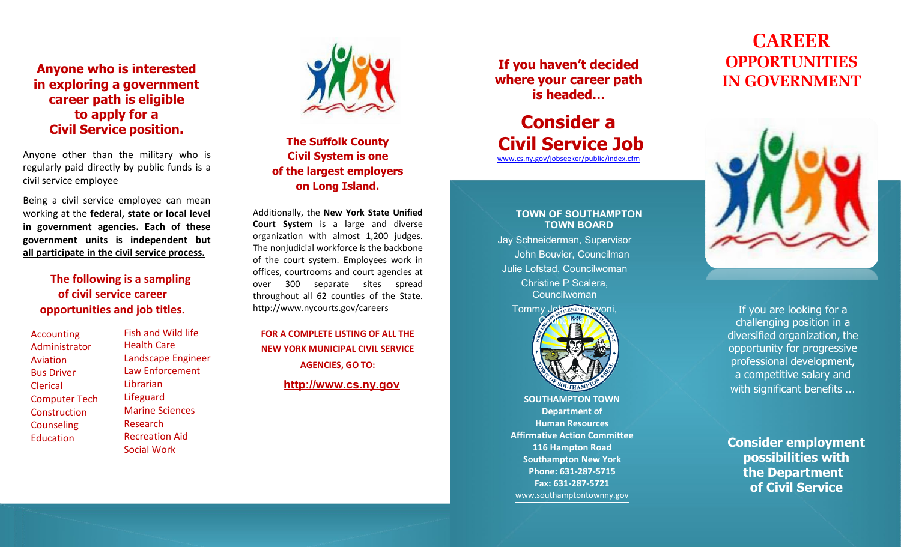## **Anyone who is interested in exploring a government career path is eligible to apply for a Civil Service position.**

Anyone other than the military who is regularly paid directly by public funds is a civil service employee

Being a civil service employee can mean working at the **federal, state or local level in government agencies. Each of these government units is independent but all participate in the civil service process.**

## **The following is a sampling of civil service career opportunities and job titles.**

Accounting Administrator Aviation Bus Driver Clerical Computer Tech Construction Counseling **Education** 

Fish and Wild life Health Care Landscape Engineer Law Enforcement Librarian Lifeguard Marine Sciences Research Recreation Aid Social Work



## **The Suffolk County Civil System is one of the largest employers on Long Island.**

Additionally, the **New York State Unified Court System** is a large and diverse organization with almost 1,200 judges. The nonjudicial workforce is the backbone of the court system. Employees work in offices, courtrooms and court agencies at over 300 separate sites spread throughout all 62 counties of the State. <http://www.nycourts.gov/careers>

**FOR A COMPLETE LISTING OF ALL THE NEW YORK MUNICIPAL CIVIL SERVICE AGENCIES, GO TO: [http://www.cs.ny.gov](http://www.cs.ny.gov/)**

**If you haven't decided where your career path is headed…**

# **Consider a Civil Service Job**

[www.cs.ny.gov/jobseeker/public/index.cfm](http://www.cs.ny.gov/jobseeker/public/index.cfm)

#### **TOWN OF SOUTHAMPTON TOWN BOARD**

Jay Schneiderman, Supervisor John Bouvier, Councilman Julie Lofstad, Councilwoman Christine P Scalera, Councilwoman



**SOUTHAMPTON TOWN Department of Human Resources Affirmative Action Committee 116 Hampton Road Southampton New York Phone: 631 -287 -5715 Fax: 631 -287 -5721** [www.southamptontownny.gov](http://www.southamptontownny.gov/)

# **CAREER OPPORTUNITIES IN GOVERNMENT**



[If you are looking for a](http://www.bing.com/images/search?q=employment%2Bconference%2Bthemes&FORM=HDRSC2&adlt=strict)  [challenging position in a](http://www.bing.com/images/search?q=employment%2Bconference%2Bthemes&FORM=HDRSC2&adlt=strict) [diversified organization,](http://www.bing.com/images/search?q=employment%2Bconference%2Bthemes&FORM=HDRSC2&adlt=strict) the [opportunity for progressive](http://www.bing.com/images/search?q=employment%2Bconference%2Bthemes&FORM=HDRSC2&adlt=strict)  [professional development,](http://www.bing.com/images/search?q=employment%2Bconference%2Bthemes&FORM=HDRSC2&adlt=strict)  [a competitive salary and](http://www.bing.com/images/search?q=employment%2Bconference%2Bthemes&FORM=HDRSC2&adlt=strict)  [with significant benefits](http://www.bing.com/images/search?q=employment%2Bconference%2Bthemes&FORM=HDRSC2&adlt=strict) …

**Consider employment possibilities with the Department of Civil Service**